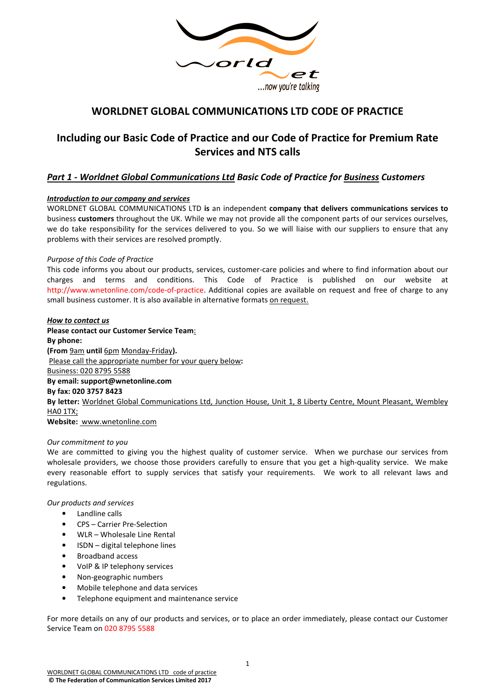

# **WORLDNET GLOBAL COMMUNICATIONS LTD CODE OF PRACTICE**

# **Including our Basic Code of Practice and our Code of Practice for Premium Rate Services and NTS calls**

# *Part 1 - Worldnet Global Communications Ltd Basic Code of Practice for Business Customers*

# *Introduction to our company and services*

WORLDNET GLOBAL COMMUNICATIONS LTD **is** an independent **company that delivers communications services to**  business **customers** throughout the UK. While we may not provide all the component parts of our services ourselves, we do take responsibility for the services delivered to you. So we will liaise with our suppliers to ensure that any problems with their services are resolved promptly.

# *Purpose of this Code of Practice*

This code informs you about our products, services, customer-care policies and where to find information about our charges and terms and conditions. This Code of Practice is published on our website http://www.wnetonline.com/code-of-practice. Additional copies are available on request and free of charge to any small business customer. It is also available in alternative formats on request.

#### *How to contact us*

**Please contact our Customer Service Team**: **By phone: (From** 9am **until** 6pm Monday-Friday**).**  Please call the appropriate number for your query below**:**  Business: 020 8795 5588 **By email: support@wnetonline.com By fax: 020 3757 8423 By letter:** Worldnet Global Communications Ltd, Junction House, Unit 1, 8 Liberty Centre, Mount Pleasant, Wembley HA0 1TX; **Website:** www.wnetonline.com

# *Our commitment to you*

We are committed to giving you the highest quality of customer service. When we purchase our services from wholesale providers, we choose those providers carefully to ensure that you get a high-quality service. We make every reasonable effort to supply services that satisfy your requirements. We work to all relevant laws and regulations.

*Our products and services* 

- Landline calls
- CPS Carrier Pre-Selection
- WLR Wholesale Line Rental
- ISDN digital telephone lines
- Broadband access
- VoIP & IP telephony services
- Non-geographic numbers
- Mobile telephone and data services
- Telephone equipment and maintenance service

For more details on any of our products and services, or to place an order immediately, please contact our Customer Service Team on 020 8795 5588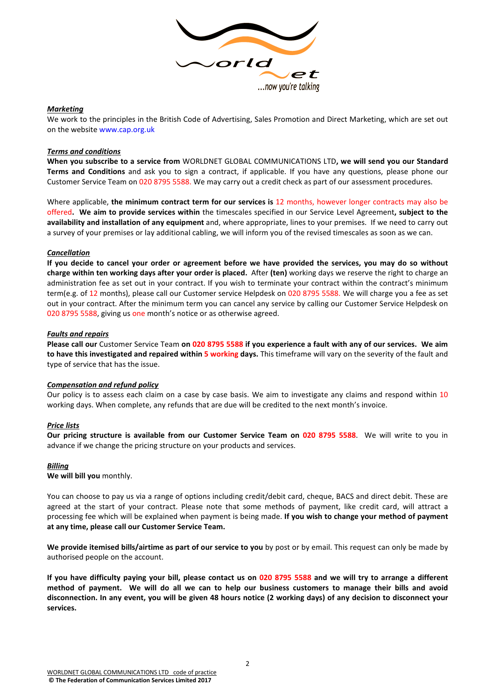

#### *Marketing*

We work to the principles in the British Code of Advertising, Sales Promotion and Direct Marketing, which are set out on the website www.cap.org.uk

# *Terms and conditions*

**When you subscribe to a service from** WORLDNET GLOBAL COMMUNICATIONS LTD**, we will send you our Standard Terms and Conditions** and ask you to sign a contract, if applicable. If you have any questions, please phone our Customer Service Team on 020 8795 5588. We may carry out a credit check as part of our assessment procedures.

Where applicable, **the minimum contract term for our services is** 12 months, however longer contracts may also be offered**. We aim to provide services within** the timescales specified in our Service Level Agreement**, subject to the availability and installation of any equipment** and, where appropriate, lines to your premises. If we need to carry out a survey of your premises or lay additional cabling, we will inform you of the revised timescales as soon as we can.

#### *Cancellation*

**If you decide to cancel your order or agreement before we have provided the services, you may do so without charge within ten working days after your order is placed.** After **(ten)** working days we reserve the right to charge an administration fee as set out in your contract. If you wish to terminate your contract within the contract's minimum term(e.g. of 12 months), please call our Customer service Helpdesk on 020 8795 5588. We will charge you a fee as set out in your contract. After the minimum term you can cancel any service by calling our Customer Service Helpdesk on 020 8795 5588, giving us one month's notice or as otherwise agreed.

#### *Faults and repairs*

**Please call our** Customer Service Team **on 020 8795 5588 if you experience a fault with any of our services. We aim to have this investigated and repaired within 5 working days.** This timeframe will vary on the severity of the fault and type of service that has the issue.

# *Compensation and refund policy*

Our policy is to assess each claim on a case by case basis. We aim to investigate any claims and respond within 10 working days. When complete, any refunds that are due will be credited to the next month's invoice.

#### *Price lists*

**Our pricing structure is available from our Customer Service Team on 020 8795 5588**. We will write to you in advance if we change the pricing structure on your products and services.

#### *Billing*

**We will bill you** monthly.

You can choose to pay us via a range of options including credit/debit card, cheque, BACS and direct debit. These are agreed at the start of your contract. Please note that some methods of payment, like credit card, will attract a processing fee which will be explained when payment is being made. **If you wish to change your method of payment at any time, please call our Customer Service Team.**

**We provide itemised bills/airtime as part of our service to you** by post or by email. This request can only be made by authorised people on the account.

**If you have difficulty paying your bill, please contact us on 020 8795 5588 and we will try to arrange a different method of payment. We will do all we can to help our business customers to manage their bills and avoid disconnection. In any event, you will be given 48 hours notice (2 working days) of any decision to disconnect your services.**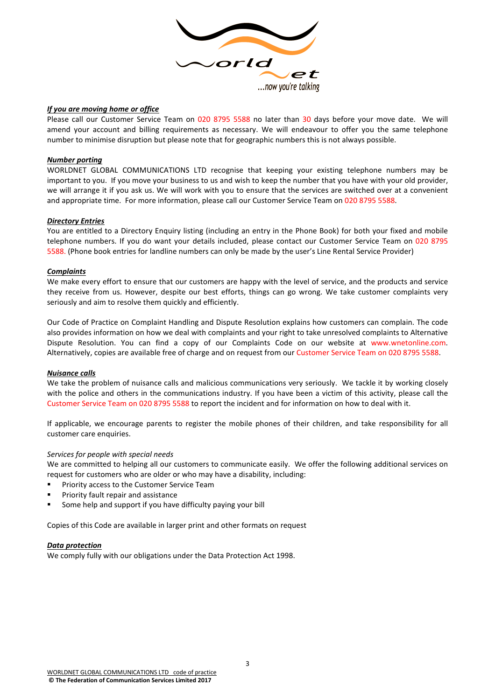

#### *If you are moving home or office*

Please call our Customer Service Team on 020 8795 5588 no later than 30 days before your move date. We will amend your account and billing requirements as necessary. We will endeavour to offer you the same telephone number to minimise disruption but please note that for geographic numbers this is not always possible.

#### *Number porting*

WORLDNET GLOBAL COMMUNICATIONS LTD recognise that keeping your existing telephone numbers may be important to you. If you move your business to us and wish to keep the number that you have with your old provider, we will arrange it if you ask us. We will work with you to ensure that the services are switched over at a convenient and appropriate time. For more information, please call our Customer Service Team on 020 8795 5588.

#### *Directory Entries*

You are entitled to a Directory Enquiry listing (including an entry in the Phone Book) for both your fixed and mobile telephone numbers. If you do want your details included, please contact our Customer Service Team on 020 8795 5588. (Phone book entries for landline numbers can only be made by the user's Line Rental Service Provider)

#### *Complaints*

We make every effort to ensure that our customers are happy with the level of service, and the products and service they receive from us. However, despite our best efforts, things can go wrong. We take customer complaints very seriously and aim to resolve them quickly and efficiently.

Our Code of Practice on Complaint Handling and Dispute Resolution explains how customers can complain. The code also provides information on how we deal with complaints and your right to take unresolved complaints to Alternative Dispute Resolution. You can find a copy of our Complaints Code on our website at www.wnetonline.com. Alternatively, copies are available free of charge and on request from our Customer Service Team on 020 8795 5588.

# *Nuisance calls*

We take the problem of nuisance calls and malicious communications very seriously. We tackle it by working closely with the police and others in the communications industry. If you have been a victim of this activity, please call the Customer Service Team on 020 8795 5588 to report the incident and for information on how to deal with it.

If applicable, we encourage parents to register the mobile phones of their children, and take responsibility for all customer care enquiries.

#### *Services for people with special needs*

We are committed to helping all our customers to communicate easily. We offer the following additional services on request for customers who are older or who may have a disability, including:

- Priority access to the Customer Service Team
- Priority fault repair and assistance
- Some help and support if you have difficulty paying your bill

Copies of this Code are available in larger print and other formats on request

#### *Data protection*

We comply fully with our obligations under the Data Protection Act 1998.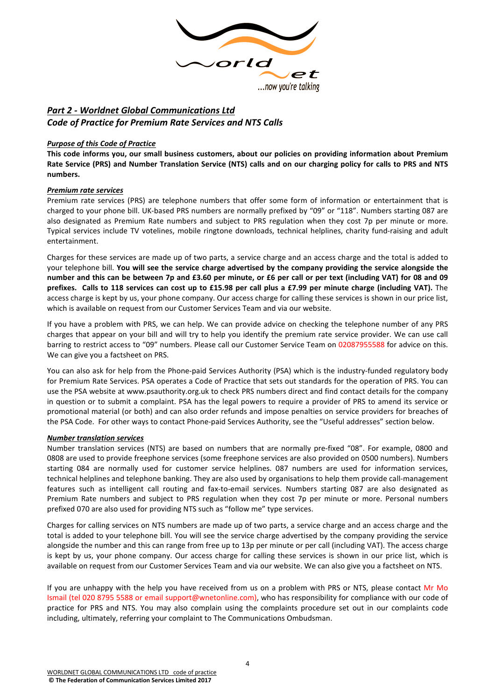

# *Part 2 - Worldnet Global Communications Ltd Code of Practice for Premium Rate Services and NTS Calls*

# **Purpose of this Code of Practice**

**This code informs you, our small business customers, about our policies on providing information about Premium Rate Service (PRS) and Number Translation Service (NTS) calls and on our charging policy for calls to PRS and NTS numbers.** 

# *Premium rate services*

Premium rate services (PRS) are telephone numbers that offer some form of information or entertainment that is charged to your phone bill. UK-based PRS numbers are normally prefixed by "09" or "118". Numbers starting 087 are also designated as Premium Rate numbers and subject to PRS regulation when they cost 7p per minute or more. Typical services include TV votelines, mobile ringtone downloads, technical helplines, charity fund-raising and adult entertainment.

Charges for these services are made up of two parts, a service charge and an access charge and the total is added to your telephone bill. **You will see the service charge advertised by the company providing the service alongside the number and this can be between 7p and £3.60 per minute, or £6 per call or per text (including VAT) for 08 and 09 prefixes. Calls to 118 services can cost up to £15.98 per call plus a £7.99 per minute charge (including VAT).** The access charge is kept by us, your phone company. Our access charge for calling these services is shown in our price list, which is available on request from our Customer Services Team and via our website.

If you have a problem with PRS, we can help. We can provide advice on checking the telephone number of any PRS charges that appear on your bill and will try to help you identify the premium rate service provider. We can use call barring to restrict access to "09" numbers. Please call our Customer Service Team on 02087955588 for advice on this. We can give you a factsheet on PRS.

You can also ask for help from the Phone-paid Services Authority (PSA) which is the industry-funded regulatory body for Premium Rate Services. PSA operates a Code of Practice that sets out standards for the operation of PRS. You can use the PSA website at www.psauthority.org.uk to check PRS numbers direct and find contact details for the company in question or to submit a complaint. PSA has the legal powers to require a provider of PRS to amend its service or promotional material (or both) and can also order refunds and impose penalties on service providers for breaches of the PSA Code. For other ways to contact Phone-paid Services Authority, see the "Useful addresses" section below.

# *Number translation services*

Number translation services (NTS) are based on numbers that are normally pre-fixed "08". For example, 0800 and 0808 are used to provide freephone services (some freephone services are also provided on 0500 numbers). Numbers starting 084 are normally used for customer service helplines. 087 numbers are used for information services, technical helplines and telephone banking. They are also used by organisations to help them provide call-management features such as intelligent call routing and fax-to-email services. Numbers starting 087 are also designated as Premium Rate numbers and subject to PRS regulation when they cost 7p per minute or more. Personal numbers prefixed 070 are also used for providing NTS such as "follow me" type services.

Charges for calling services on NTS numbers are made up of two parts, a service charge and an access charge and the total is added to your telephone bill. You will see the service charge advertised by the company providing the service alongside the number and this can range from free up to 13p per minute or per call (including VAT). The access charge is kept by us, your phone company. Our access charge for calling these services is shown in our price list, which is available on request from our Customer Services Team and via our website. We can also give you a factsheet on NTS.

If you are unhappy with the help you have received from us on a problem with PRS or NTS, please contact Mr Mo Ismail (tel 020 8795 5588 or email support@wnetonline.com), who has responsibility for compliance with our code of practice for PRS and NTS. You may also complain using the complaints procedure set out in our complaints code including, ultimately, referring your complaint to The Communications Ombudsman.